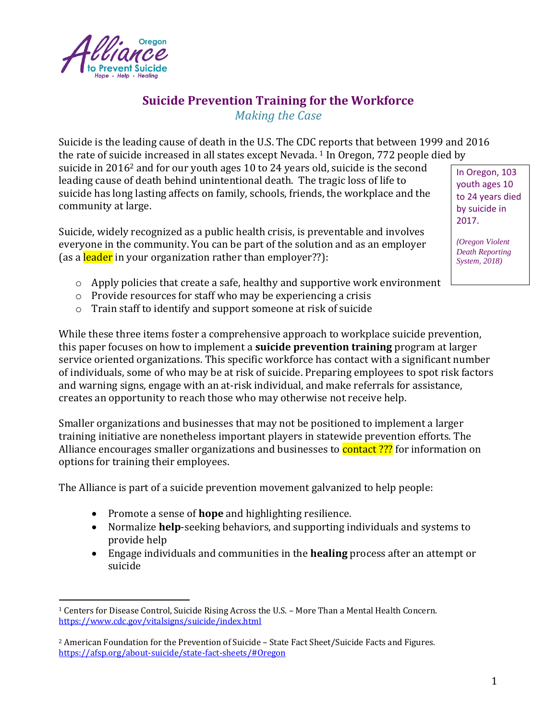

# **Suicide Prevention Training for the Workforce**

*Making the Case*

Suicide is the leading cause of death in the U.S. The CDC reports that between 1999 and 2016 the rate of suicide increased in all states except Nevada. <sup>1</sup> In Oregon, 772 people died by

suicide in 2016<sup>2</sup> and for our youth ages 10 to 24 years old, suicide is the second leading cause of death behind unintentional death. The tragic loss of life to suicide has long lasting affects on family, schools, friends, the workplace and the community at large.

Suicide, widely recognized as a public health crisis, is preventable and involves everyone in the community. You can be part of the solution and as an employer (as a leader in your organization rather than employer??):

In Oregon, 103 youth ages 10 to 24 years died by suicide in 2017.

*(Oregon Violent Death Reporting System, 2018)*

- $\circ$  Apply policies that create a safe, healthy and supportive work environment
- o Provide resources for staff who may be experiencing a crisis
- o Train staff to identify and support someone at risk of suicide

While these three items foster a comprehensive approach to workplace suicide prevention, this paper focuses on how to implement a **suicide prevention training** program at larger service oriented organizations. This specific workforce has contact with a significant number of individuals, some of who may be at risk of suicide. Preparing employees to spot risk factors and warning signs, engage with an at-risk individual, and make referrals for assistance, creates an opportunity to reach those who may otherwise not receive help.

Smaller organizations and businesses that may not be positioned to implement a larger training initiative are nonetheless important players in statewide prevention efforts. The Alliance encourages smaller organizations and businesses to **contact** ??? for information on options for training their employees.

The Alliance is part of a suicide prevention movement galvanized to help people:

- Promote a sense of **hope** and highlighting resilience.
- Normalize **help**-seeking behaviors, and supporting individuals and systems to provide help
- Engage individuals and communities in the **healing** process after an attempt or suicide

<sup>&</sup>lt;sup>1</sup> Centers for Disease Control, Suicide Rising Across the U.S. - More Than a Mental Health Concern. <https://www.cdc.gov/vitalsigns/suicide/index.html>

<sup>2</sup> American Foundation for the Prevention of Suicide – State Fact Sheet/Suicide Facts and Figures. <https://afsp.org/about-suicide/state-fact-sheets/#Oregon>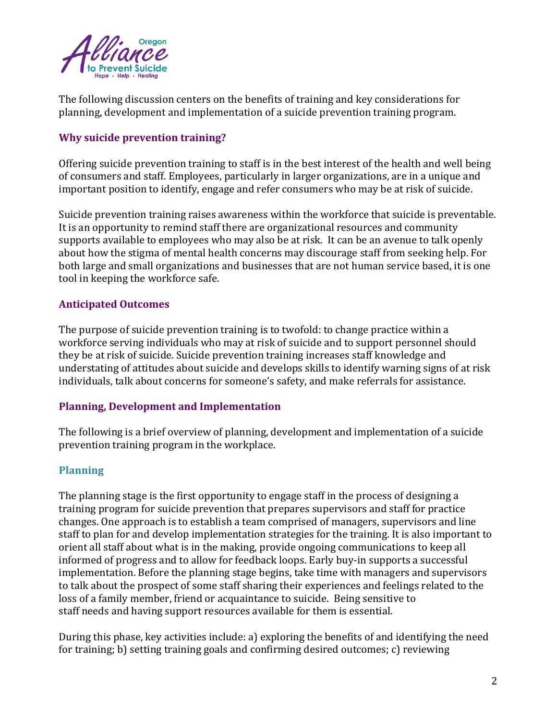

The following discussion centers on the benefits of training and key considerations for planning, development and implementation of a suicide prevention training program.

## **Why suicide prevention training?**

Offering suicide prevention training to staff is in the best interest of the health and well being of consumers and staff. Employees, particularly in larger organizations, are in a unique and important position to identify, engage and refer consumers who may be at risk of suicide.

Suicide prevention training raises awareness within the workforce that suicide is preventable. It is an opportunity to remind staff there are organizational resources and community supports available to employees who may also be at risk. It can be an avenue to talk openly about how the stigma of mental health concerns may discourage staff from seeking help. For both large and small organizations and businesses that are not human service based, it is one tool in keeping the workforce safe.

### **Anticipated Outcomes**

The purpose of suicide prevention training is to twofold: to change practice within a workforce serving individuals who may at risk of suicide and to support personnel should they be at risk of suicide. Suicide prevention training increases staff knowledge and understating of attitudes about suicide and develops skills to identify warning signs of at risk individuals, talk about concerns for someone's safety, and make referrals for assistance.

#### **Planning, Development and Implementation**

The following is a brief overview of planning, development and implementation of a suicide prevention training program in the workplace.

#### **Planning**

The planning stage is the first opportunity to engage staff in the process of designing a training program for suicide prevention that prepares supervisors and staff for practice changes. One approach is to establish a team comprised of managers, supervisors and line staff to plan for and develop implementation strategies for the training. It is also important to orient all staff about what is in the making, provide ongoing communications to keep all informed of progress and to allow for feedback loops. Early buy-in supports a successful implementation. Before the planning stage begins, take time with managers and supervisors to talk about the prospect of some staff sharing their experiences and feelings related to the loss of a family member, friend or acquaintance to suicide. Being sensitive to staff needs and having support resources available for them is essential.

During this phase, key activities include: a) exploring the benefits of and identifying the need for training; b) setting training goals and confirming desired outcomes; c) reviewing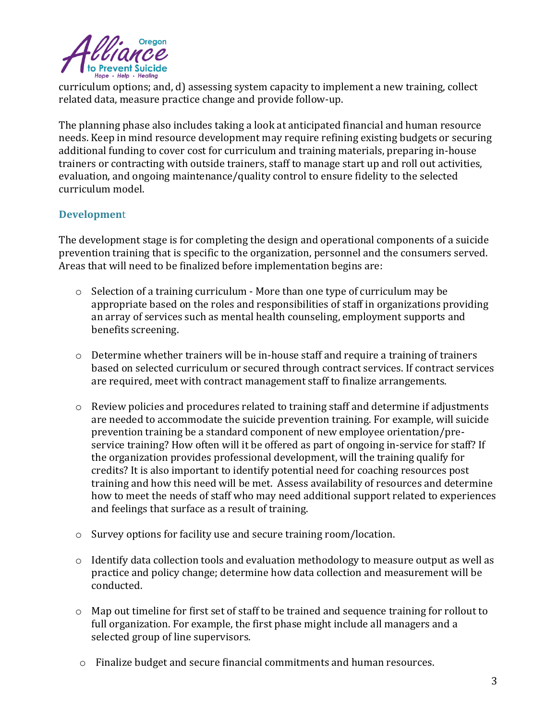

curriculum options; and, d) assessing system capacity to implement a new training, collect related data, measure practice change and provide follow-up.

The planning phase also includes taking a look at anticipated financial and human resource needs. Keep in mind resource development may require refining existing budgets or securing additional funding to cover cost for curriculum and training materials, preparing in-house trainers or contracting with outside trainers, staff to manage start up and roll out activities, evaluation, and ongoing maintenance/quality control to ensure fidelity to the selected curriculum model.

## **Developmen**t

The development stage is for completing the design and operational components of a suicide prevention training that is specific to the organization, personnel and the consumers served. Areas that will need to be finalized before implementation begins are:

- o Selection of a training curriculum More than one type of curriculum may be appropriate based on the roles and responsibilities of staff in organizations providing an array of services such as mental health counseling, employment supports and benefits screening.
- o Determine whether trainers will be in-house staff and require a training of trainers based on selected curriculum or secured through contract services. If contract services are required, meet with contract management staff to finalize arrangements.
- $\circ$  Review policies and procedures related to training staff and determine if adjustments are needed to accommodate the suicide prevention training. For example, will suicide prevention training be a standard component of new employee orientation/preservice training? How often will it be offered as part of ongoing in-service for staff? If the organization provides professional development, will the training qualify for credits? It is also important to identify potential need for coaching resources post training and how this need will be met. Assess availability of resources and determine how to meet the needs of staff who may need additional support related to experiences and feelings that surface as a result of training.
- o Survey options for facility use and secure training room/location.
- o Identify data collection tools and evaluation methodology to measure output as well as practice and policy change; determine how data collection and measurement will be conducted.
- $\circ$  Map out timeline for first set of staff to be trained and sequence training for rollout to full organization. For example, the first phase might include all managers and a selected group of line supervisors.
- o Finalize budget and secure financial commitments and human resources.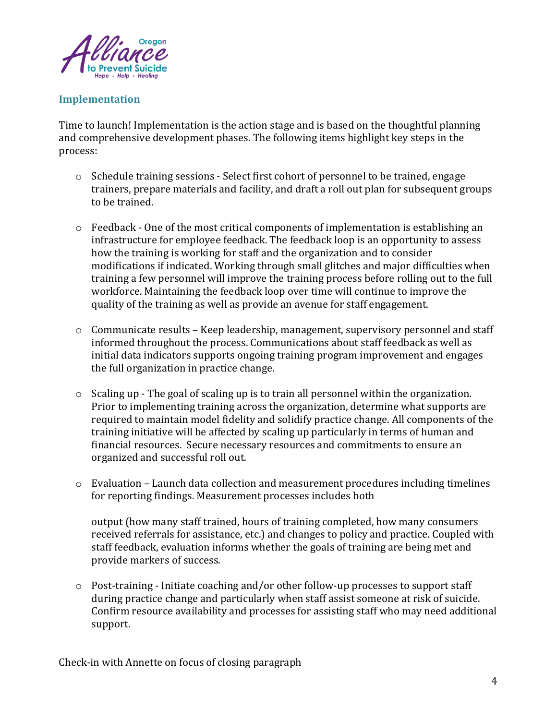

## **Implementation**

Time to launch! Implementation is the action stage and is based on the thoughtful planning and comprehensive development phases. The following items highlight key steps in the process:

- o Schedule training sessions Select first cohort of personnel to be trained, engage trainers, prepare materials and facility, and draft a roll out plan for subsequent groups to be trained.
- $\circ$  Feedback One of the most critical components of implementation is establishing an infrastructure for employee feedback. The feedback loop is an opportunity to assess how the training is working for staff and the organization and to consider modifications if indicated. Working through small glitches and major difficulties when training a few personnel will improve the training process before rolling out to the full workforce. Maintaining the feedback loop over time will continue to improve the quality of the training as well as provide an avenue for staff engagement.
- o Communicate results Keep leadership, management, supervisory personnel and staff informed throughout the process. Communications about staff feedback as well as initial data indicators supports ongoing training program improvement and engages the full organization in practice change.
- $\circ$  Scaling up The goal of scaling up is to train all personnel within the organization. Prior to implementing training across the organization, determine what supports are required to maintain model fidelity and solidify practice change. All components of the training initiative will be affected by scaling up particularly in terms of human and financial resources. Secure necessary resources and commitments to ensure an organized and successful roll out.
- o Evaluation Launch data collection and measurement procedures including timelines for reporting findings. Measurement processes includes both

output (how many staff trained, hours of training completed, how many consumers received referrals for assistance, etc.) and changes to policy and practice. Coupled with staff feedback, evaluation informs whether the goals of training are being met and provide markers of success.

o Post-training - Initiate coaching and/or other follow-up processes to support staff during practice change and particularly when staff assist someone at risk of suicide. Confirm resource availability and processes for assisting staff who may need additional support.

Check-in with Annette on focus of closing paragraph